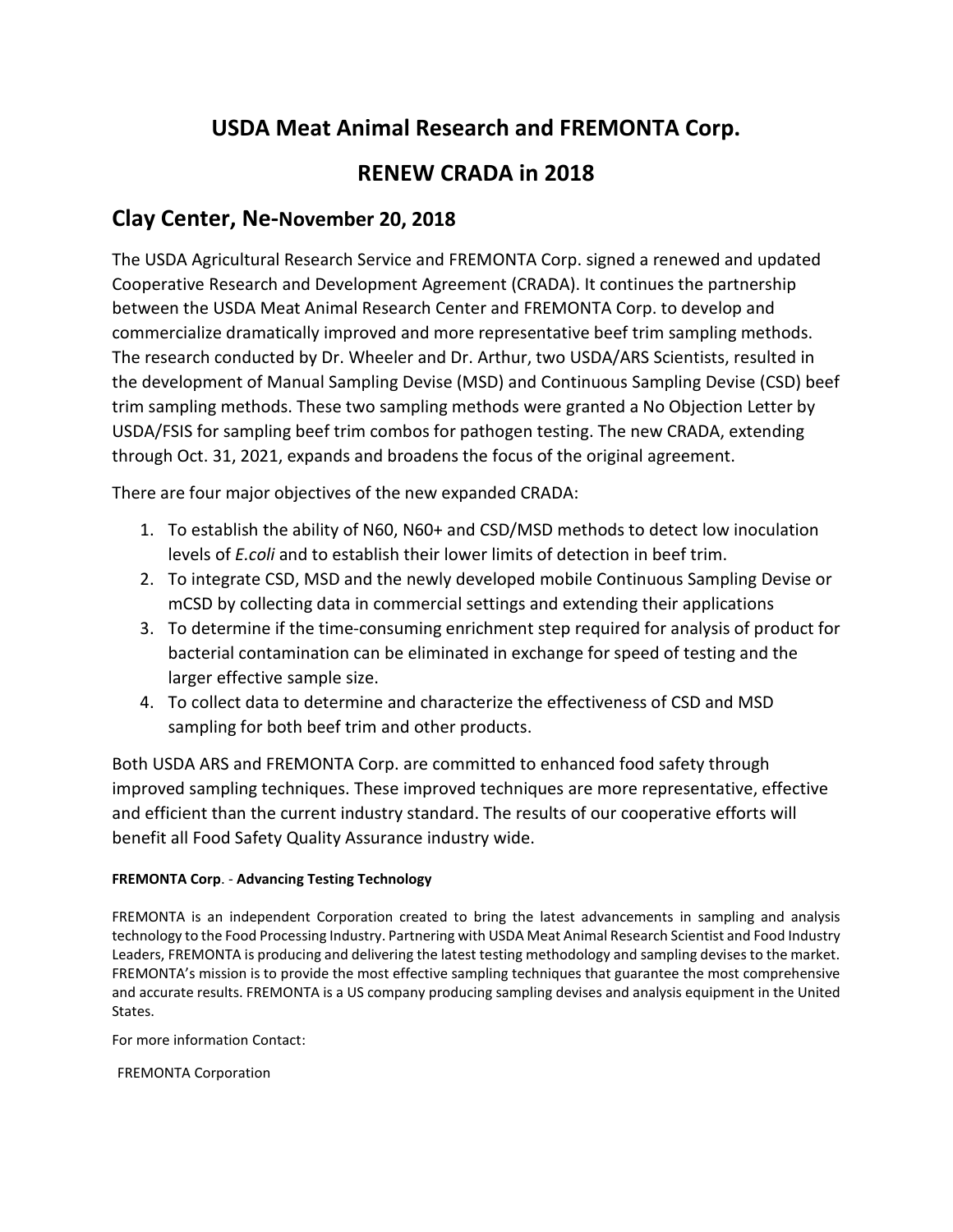## **USDA Meat Animal Research and FREMONTA Corp.**

## **RENEW CRADA in 2018**

## **Clay Center, Ne-November 20, 2018**

The USDA Agricultural Research Service and FREMONTA Corp. signed a renewed and updated Cooperative Research and Development Agreement (CRADA). It continues the partnership between the USDA Meat Animal Research Center and FREMONTA Corp. to develop and commercialize dramatically improved and more representative beef trim sampling methods. The research conducted by Dr. Wheeler and Dr. Arthur, two USDA/ARS Scientists, resulted in the development of Manual Sampling Devise (MSD) and Continuous Sampling Devise (CSD) beef trim sampling methods. These two sampling methods were granted a No Objection Letter by USDA/FSIS for sampling beef trim combos for pathogen testing. The new CRADA, extending through Oct. 31, 2021, expands and broadens the focus of the original agreement.

There are four major objectives of the new expanded CRADA:

- 1. To establish the ability of N60, N60+ and CSD/MSD methods to detect low inoculation levels of *E.coli* and to establish their lower limits of detection in beef trim.
- 2. To integrate CSD, MSD and the newly developed mobile Continuous Sampling Devise or mCSD by collecting data in commercial settings and extending their applications
- 3. To determine if the time-consuming enrichment step required for analysis of product for bacterial contamination can be eliminated in exchange for speed of testing and the larger effective sample size.
- 4. To collect data to determine and characterize the effectiveness of CSD and MSD sampling for both beef trim and other products.

Both USDA ARS and FREMONTA Corp. are committed to enhanced food safety through improved sampling techniques. These improved techniques are more representative, effective and efficient than the current industry standard. The results of our cooperative efforts will benefit all Food Safety Quality Assurance industry wide.

## **FREMONTA Corp**. - **Advancing Testing Technology**

FREMONTA is an independent Corporation created to bring the latest advancements in sampling and analysis technology to the Food Processing Industry. Partnering with USDA Meat Animal Research Scientist and Food Industry Leaders, FREMONTA is producing and delivering the latest testing methodology and sampling devises to the market. FREMONTA's mission is to provide the most effective sampling techniques that guarantee the most comprehensive and accurate results. FREMONTA is a US company producing sampling devises and analysis equipment in the United States.

For more information Contact:

FREMONTA Corporation